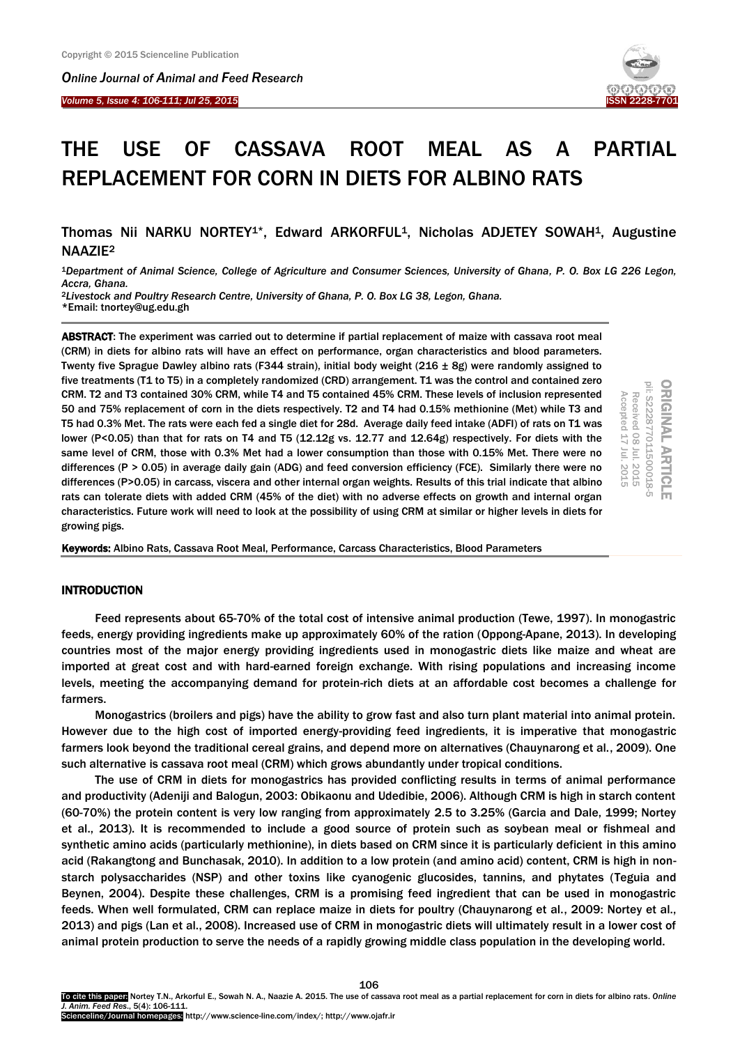*Online Journal of A[nimal and](http://www.ojafr.ir/main/) Feed Research*

*Volume 5, Issue 4: 106-111; Jul 25, 2015* I



# THE USE OF CASSAVA ROOT MEAL AS A PARTIAL REPLACEMENT FOR CORN IN DIETS FOR ALBINO RATS

Thomas Nii NARKU NORTEY<sup>1\*</sup>, Edward ARKORFUL<sup>1</sup>, Nicholas ADJETEY SOWAH<sup>1</sup>, Augustine NAAZIE<sup>2</sup>

<sup>1</sup>*Department of Animal Science, College of Agriculture and Consumer Sciences, University of Ghana, P. O. Box LG 226 Legon, Accra, Ghana.*

<sup>2</sup>*Livestock and Poultry Research Centre, University of Ghana, P. O. Box LG 38, Legon, Ghana.* \*Email: tnortey@ug.edu.gh

ABSTRACT: The experiment was carried out to determine if partial replacement of maize with cassava root meal (CRM) in diets for albino rats will have an effect on performance, organ characteristics and blood parameters. Twenty five Sprague Dawley albino rats (F344 strain), initial body weight (216 ± 8g) were randomly assigned to five treatments (T1 to T5) in a completely randomized (CRD) arrangement. T1 was the control and contained zero CRM. T2 and T3 contained 30% CRM, while T4 and T5 contained 45% CRM. These levels of inclusion represented 50 and 75% replacement of corn in the diets respectively. T2 and T4 had 0.15% methionine (Met) while T3 and T5 had 0.3% Met. The rats were each fed a single diet for 28d. Average daily feed intake (ADFI) of rats on T1 was lower (P<0.05) than that for rats on T4 and T5 (12.12g vs. 12.77 and 12.64g) respectively. For diets with the same level of CRM, those with 0.3% Met had a lower consumption than those with 0.15% Met. There were no differences (P > 0.05) in average daily gain (ADG) and feed conversion efficiency (FCE). Similarly there were no differences (P>0.05) in carcass, viscera and other internal organ weights. Results of this trial indicate that albino rats can tolerate diets with added CRM (45% of the diet) with no adverse effects on growth and internal organ characteristics. Future work will need to look at the possibility of using CRM at similar or higher levels in diets for growing pigs.



Keywords: Albino Rats, Cassava Root Meal, Performance, Carcass Characteristics, Blood Parameters

# INTRODUCTION

Feed represents about 65-70% of the total cost of intensive animal production (Tewe, 1997). In monogastric feeds, energy providing ingredients make up approximately 60% of the ration (Oppong-Apane, 2013). In developing countries most of the major energy providing ingredients used in monogastric diets like maize and wheat are imported at great cost and with hard-earned foreign exchange. With rising populations and increasing income levels, meeting the accompanying demand for protein-rich diets at an affordable cost becomes a challenge for farmers.

Monogastrics (broilers and pigs) have the ability to grow fast and also turn plant material into animal protein. However due to the high cost of imported energy-providing feed ingredients, it is imperative that monogastric farmers look beyond the traditional cereal grains, and depend more on alternatives (Chauynarong et al., 2009). One such alternative is cassava root meal (CRM) which grows abundantly under tropical conditions.

The use of CRM in diets for monogastrics has provided conflicting results in terms of animal performance and productivity (Adeniji and Balogun, 2003: Obikaonu and Udedibie, 2006). Although CRM is high in starch content (60-70%) the protein content is very low ranging from approximately 2.5 to 3.25% (Garcia and Dale, 1999; Nortey et al., 2013). It is recommended to include a good source of protein such as soybean meal or fishmeal and synthetic amino acids (particularly methionine), in diets based on CRM since it is particularly deficient in this amino acid (Rakangtong and Bunchasak, 2010). In addition to a low protein (and amino acid) content, CRM is high in nonstarch polysaccharides (NSP) and other toxins like cyanogenic glucosides, tannins, and phytates (Teguia and Beynen, 2004). Despite these challenges, CRM is a promising feed ingredient that can be used in monogastric feeds. When well formulated, CRM can replace maize in diets for poultry (Chauynarong et al., 2009: Nortey et al., 2013) and pigs (Lan et al., 2008). Increased use of CRM in monogastric diets will ultimately result in a lower cost of animal protein production to serve the needs of a rapidly growing middle class population in the developing world.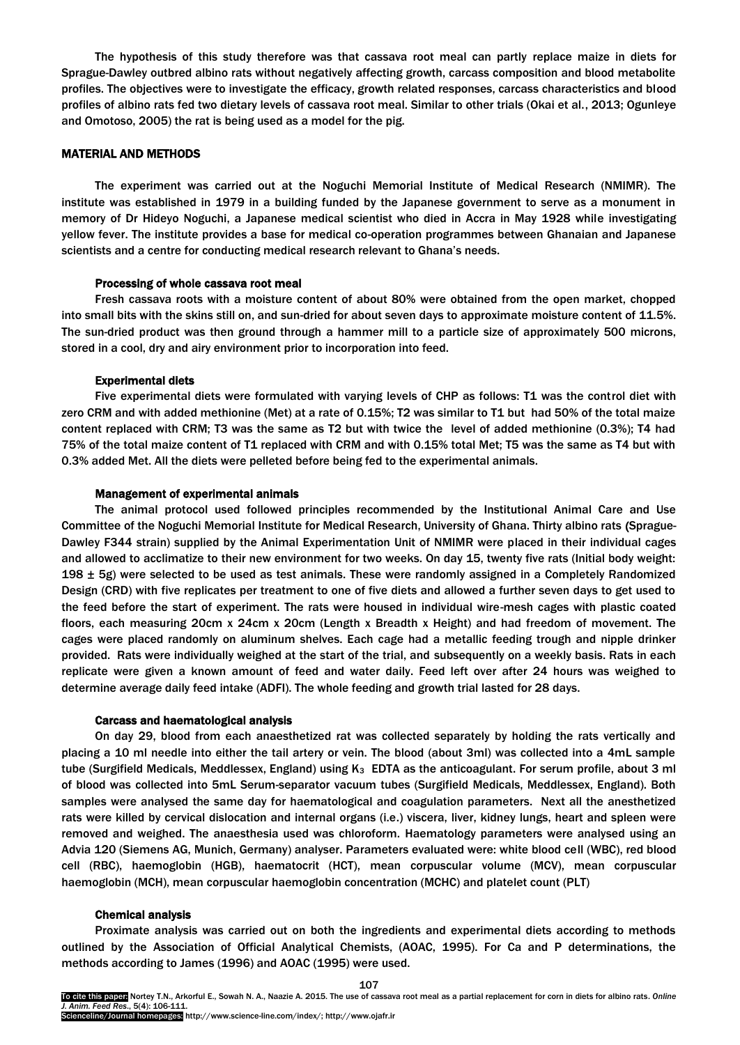The hypothesis of this study therefore was that cassava root meal can partly replace maize in diets for Sprague-Dawley outbred albino rats without negatively affecting growth, carcass composition and blood metabolite profiles. The objectives were to investigate the efficacy, growth related responses, carcass characteristics and blood profiles of albino rats fed two dietary levels of cassava root meal. Similar to other trials (Okai et al., 2013; Ogunleye and Omotoso, 2005) the rat is being used as a model for the pig.

## MATERIAL AND METHODS

The experiment was carried out at the Noguchi Memorial Institute of Medical Research (NMIMR). The institute was established in 1979 in a building funded by the Japanese government to serve as a monument in memory of Dr Hideyo Noguchi, a Japanese medical scientist who died in Accra in May 1928 while investigating yellow fever. The institute provides a base for medical co-operation programmes between Ghanaian and Japanese scientists and a centre for conducting medical research relevant to Ghana's needs.

#### Processing of whole cassava root meal

Fresh cassava roots with a moisture content of about 80% were obtained from the open market, chopped into small bits with the skins still on, and sun-dried for about seven days to approximate moisture content of 11.5%. The sun-dried product was then ground through a hammer mill to a particle size of approximately 500 microns, stored in a cool, dry and airy environment prior to incorporation into feed.

#### Experimental diets

Five experimental diets were formulated with varying levels of CHP as follows: T1 was the control diet with zero CRM and with added methionine (Met) at a rate of 0.15%; T2 was similar to T1 but had 50% of the total maize content replaced with CRM; T3 was the same as T2 but with twice the level of added methionine (0.3%); T4 had 75% of the total maize content of T1 replaced with CRM and with 0.15% total Met; T5 was the same as T4 but with 0.3% added Met. All the diets were pelleted before being fed to the experimental animals.

#### Management of experimental animals

The animal protocol used followed principles recommended by the Institutional Animal Care and Use Committee of the Noguchi Memorial Institute for Medical Research, University of Ghana. Thirty albino rats (Sprague-Dawley F344 strain) supplied by the Animal Experimentation Unit of NMIMR were placed in their individual cages and allowed to acclimatize to their new environment for two weeks. On day 15, twenty five rats (Initial body weight: 198  $\pm$  5g) were selected to be used as test animals. These were randomly assigned in a Completely Randomized Design (CRD) with five replicates per treatment to one of five diets and allowed a further seven days to get used to the feed before the start of experiment. The rats were housed in individual wire-mesh cages with plastic coated floors, each measuring 20cm x 24cm x 20cm (Length x Breadth x Height) and had freedom of movement. The cages were placed randomly on aluminum shelves. Each cage had a metallic feeding trough and nipple drinker provided. Rats were individually weighed at the start of the trial, and subsequently on a weekly basis. Rats in each replicate were given a known amount of feed and water daily. Feed left over after 24 hours was weighed to determine average daily feed intake (ADFI). The whole feeding and growth trial lasted for 28 days.

#### Carcass and haematological analysis

On day 29, blood from each anaesthetized rat was collected separately by holding the rats vertically and placing a 10 ml needle into either the tail artery or vein. The blood (about 3ml) was collected into a 4mL sample tube (Surgifield Medicals, Meddlessex, England) using  $K_3$  EDTA as the anticoagulant. For serum profile, about 3 ml of blood was collected into 5mL Serum-separator vacuum tubes (Surgifield Medicals, Meddlessex, England). Both samples were analysed the same day for haematological and coagulation parameters. Next all the anesthetized rats were killed by cervical dislocation and internal organs (i.e.) viscera, liver, kidney lungs, heart and spleen were removed and weighed. The anaesthesia used was chloroform. Haematology parameters were analysed using an Advia 120 (Siemens AG, Munich, Germany) analyser. Parameters evaluated were: white blood cell (WBC), red blood cell (RBC), haemoglobin (HGB), haematocrit (HCT), mean corpuscular volume (MCV), mean corpuscular haemoglobin (MCH), mean corpuscular haemoglobin concentration (MCHC) and platelet count (PLT)

#### Chemical analysis

Proximate analysis was carried out on both the ingredients and experimental diets according to methods outlined by the Association of Official Analytical Chemists, (AOAC, 1995). For Ca and P determinations, the methods according to James (1996) and AOAC (1995) were used.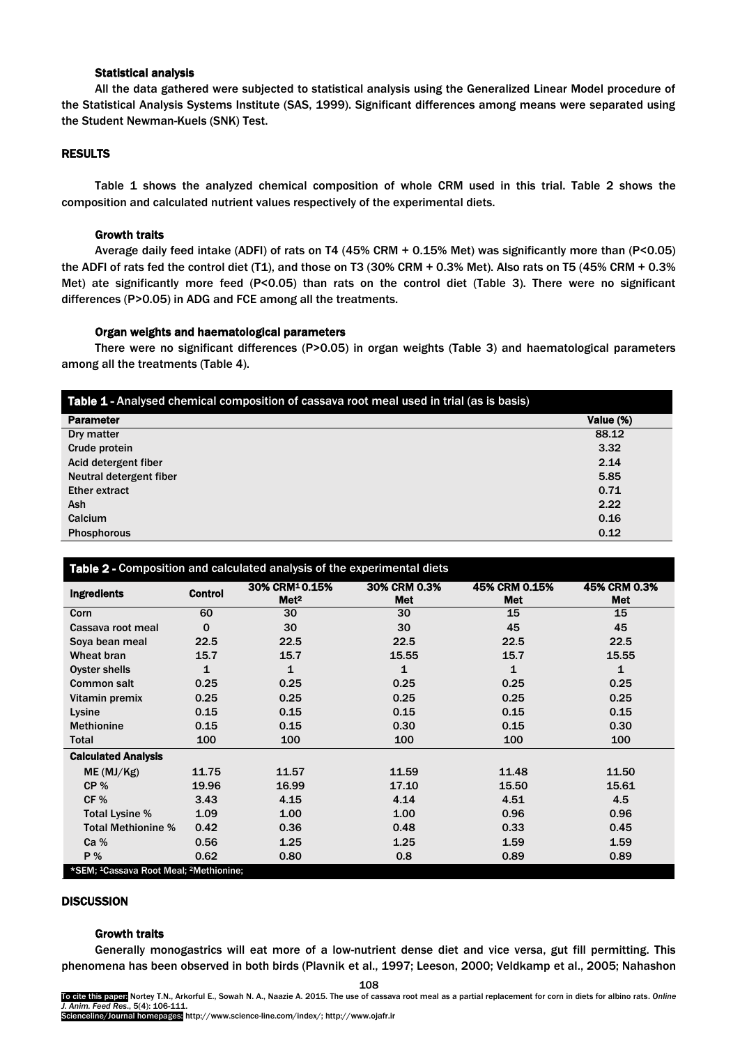## Statistical analysis

All the data gathered were subjected to statistical analysis using the Generalized Linear Model procedure of the Statistical Analysis Systems Institute (SAS, 1999). Significant differences among means were separated using the Student Newman-Kuels (SNK) Test.

#### RESULTS

Table 1 shows the analyzed chemical composition of whole CRM used in this trial. Table 2 shows the composition and calculated nutrient values respectively of the experimental diets.

#### Growth traits

Average daily feed intake (ADFI) of rats on T4 (45% CRM + 0.15% Met) was significantly more than (P<0.05) the ADFI of rats fed the control diet (T1), and those on T3 (30% CRM + 0.3% Met). Also rats on T5 (45% CRM + 0.3% Met) ate significantly more feed (P<0.05) than rats on the control diet (Table 3). There were no significant differences (P>0.05) in ADG and FCE among all the treatments.

## Organ weights and haematological parameters

There were no significant differences (P>0.05) in organ weights (Table 3) and haematological parameters among all the treatments (Table 4).

| Table 1 - Analysed chemical composition of cassava root meal used in trial (as is basis) |           |
|------------------------------------------------------------------------------------------|-----------|
| <b>Parameter</b>                                                                         | Value (%) |
| Dry matter                                                                               | 88.12     |
| Crude protein                                                                            | 3.32      |
| Acid detergent fiber                                                                     | 2.14      |
| Neutral detergent fiber                                                                  | 5.85      |
| <b>Ether extract</b>                                                                     | 0.71      |
| Ash                                                                                      | 2.22      |
| Calcium                                                                                  | 0.16      |
| <b>Phosphorous</b>                                                                       | 0.12      |

## Table 2 - Composition and calculated analysis of the experimental diets

| <b>Ingredients</b>                                             | <b>Control</b> | 30% CRM <sup>1</sup> 0.15%<br>Met <sup>2</sup> | 30% CRM 0.3%<br><b>Met</b> | 45% CRM 0.15%<br><b>Met</b> | 45% CRM 0.3%<br><b>Met</b> |  |  |
|----------------------------------------------------------------|----------------|------------------------------------------------|----------------------------|-----------------------------|----------------------------|--|--|
| Corn                                                           | 60             | 30                                             | 30                         | 15                          | 15                         |  |  |
| Cassava root meal                                              | $\mathbf 0$    | 30                                             | 30                         | 45                          | 45                         |  |  |
| Soya bean meal                                                 | 22.5           | 22.5                                           | 22.5                       | 22.5                        | 22.5                       |  |  |
| Wheat bran                                                     | 15.7           | 15.7                                           | 15.55<br>15.7              |                             | 15.55                      |  |  |
| Oyster shells                                                  | 1              | 1                                              | 1<br>1                     |                             | 1                          |  |  |
| <b>Common salt</b>                                             | 0.25           | 0.25                                           | 0.25                       | 0.25                        | 0.25                       |  |  |
| Vitamin premix                                                 | 0.25           | 0.25                                           | 0.25<br>0.25               |                             | 0.25                       |  |  |
| Lysine                                                         | 0.15           | 0.15                                           | 0.15                       | 0.15                        | 0.15                       |  |  |
| <b>Methionine</b>                                              | 0.15           | 0.15                                           | 0.30                       | 0.15                        | 0.30                       |  |  |
| <b>Total</b>                                                   | 100            | 100                                            | 100                        | 100                         | 100                        |  |  |
| <b>Calculated Analysis</b>                                     |                |                                                |                            |                             |                            |  |  |
| ME (MJ/Kg)                                                     | 11.75          | 11.57                                          | 11.59                      | 11.48                       | 11.50                      |  |  |
| CP%                                                            | 19.96          | 16.99                                          | 17.10                      | 15.50                       | 15.61                      |  |  |
| CF%                                                            | 3.43           | 4.15                                           | 4.14                       | 4.51                        | 4.5                        |  |  |
| Total Lysine %                                                 | 1.09           | 1.00                                           | 1.00                       | 0.96                        | 0.96                       |  |  |
| <b>Total Methionine %</b>                                      | 0.42           | 0.36                                           | 0.48                       | 0.33                        | 0.45                       |  |  |
| Ca <sub>%</sub>                                                | 0.56           | 1.25                                           | 1.25                       | 1.59                        | 1.59                       |  |  |
| <b>P</b> %                                                     | 0.62           | 0.80                                           | 0.8                        | 0.89                        | 0.89                       |  |  |
| *SEM; <sup>1</sup> Cassava Root Meal; <sup>2</sup> Methionine; |                |                                                |                            |                             |                            |  |  |

# **DISCUSSION**

# Growth traits

Generally monogastrics will eat more of a low-nutrient dense diet and vice versa, gut fill permitting. This phenomena has been observed in both birds (Plavnik et al., 1997; Leeson, 2000; Veldkamp et al., 2005; Nahashon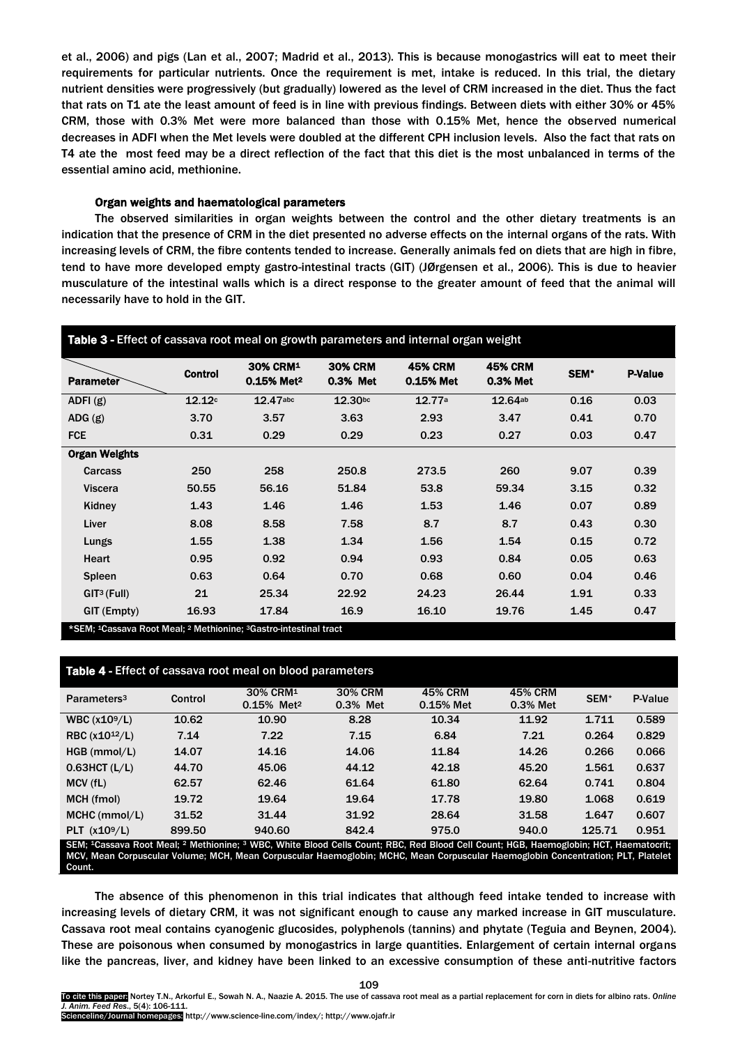et al., 2006) and pigs (Lan et al., 2007; Madrid et al., 2013). This is because monogastrics will eat to meet their requirements for particular nutrients. Once the requirement is met, intake is reduced. In this trial, the dietary nutrient densities were progressively (but gradually) lowered as the level of CRM increased in the diet. Thus the fact that rats on T1 ate the least amount of feed is in line with previous findings. Between diets with either 30% or 45% CRM, those with 0.3% Met were more balanced than those with 0.15% Met, hence the observed numerical decreases in ADFI when the Met levels were doubled at the different CPH inclusion levels. Also the fact that rats on T4 ate the most feed may be a direct reflection of the fact that this diet is the most unbalanced in terms of the essential amino acid, methionine.

## Organ weights and haematological parameters

The observed similarities in organ weights between the control and the other dietary treatments is an indication that the presence of CRM in the diet presented no adverse effects on the internal organs of the rats. With increasing levels of CRM, the fibre contents tended to increase. Generally animals fed on diets that are high in fibre, tend to have more developed empty gastro-intestinal tracts (GIT) (JØrgensen et al., 2006). This is due to heavier musculature of the intestinal walls which is a direct response to the greater amount of feed that the animal will necessarily have to hold in the GIT.

| Table 3 - Effect of cassava root meal on growth parameters and internal organ weight                |                |                                                |                            |                             |                            |      |                |
|-----------------------------------------------------------------------------------------------------|----------------|------------------------------------------------|----------------------------|-----------------------------|----------------------------|------|----------------|
| <b>Parameter</b>                                                                                    | <b>Control</b> | 30% CRM <sup>1</sup><br>0.15% Met <sup>2</sup> | <b>30% CRM</b><br>0.3% Met | <b>45% CRM</b><br>0.15% Met | <b>45% CRM</b><br>0.3% Met | SEM* | <b>P-Value</b> |
| ADFI $(g)$                                                                                          | 12.12c         | 12.47abc                                       | 12.30bc                    | 12.77a                      | 12.64ab                    | 0.16 | 0.03           |
| ADG(g)                                                                                              | 3.70           | 3.57                                           | 3.63                       | 2.93                        | 3.47                       | 0.41 | 0.70           |
| <b>FCE</b>                                                                                          | 0.31           | 0.29                                           | 0.29                       | 0.23                        | 0.27                       | 0.03 | 0.47           |
| <b>Organ Weights</b>                                                                                |                |                                                |                            |                             |                            |      |                |
| Carcass                                                                                             | 250            | 258                                            | 250.8                      | 273.5                       | 260                        | 9.07 | 0.39           |
| <b>Viscera</b>                                                                                      | 50.55          | 56.16                                          | 51.84                      | 53.8                        | 59.34                      | 3.15 | 0.32           |
| Kidney                                                                                              | 1.43           | 1.46                                           | 1.46                       | 1.53                        | 1.46                       | 0.07 | 0.89           |
| Liver                                                                                               | 8.08           | 8.58                                           | 7.58                       | 8.7                         | 8.7                        | 0.43 | 0.30           |
| Lungs                                                                                               | 1.55           | 1.38                                           | 1.34                       | 1.56                        | 1.54                       | 0.15 | 0.72           |
| Heart                                                                                               | 0.95           | 0.92                                           | 0.94                       | 0.93                        | 0.84                       | 0.05 | 0.63           |
| <b>Spleen</b>                                                                                       | 0.63           | 0.64                                           | 0.70                       | 0.68                        | 0.60                       | 0.04 | 0.46           |
| GIT <sup>3</sup> (Full)                                                                             | 21             | 25.34                                          | 22.92                      | 24.23                       | 26.44                      | 1.91 | 0.33           |
| GIT (Empty)                                                                                         | 16.93          | 17.84                                          | 16.9                       | 16.10                       | 19.76                      | 1.45 | 0.47           |
| *SEM; <sup>1</sup> Cassava Root Meal; <sup>2</sup> Methionine; <sup>3</sup> Gastro-intestinal tract |                |                                                |                            |                             |                            |      |                |

# Table 4 - Effect of cassava root meal on blood parameters

| Parameters <sup>3</sup>                                                                                                                                                 | Control | 30% CRM <sup>1</sup>   | 30% CRM  | <b>45% CRM</b> | <b>45% CRM</b> | SEM <sup>*</sup> | P-Value |
|-------------------------------------------------------------------------------------------------------------------------------------------------------------------------|---------|------------------------|----------|----------------|----------------|------------------|---------|
|                                                                                                                                                                         |         | 0.15% Met <sup>2</sup> | 0.3% Met | $0.15%$ Met    | 0.3% Met       |                  |         |
| WBC $(x10^9/L)$                                                                                                                                                         | 10.62   | 10.90                  | 8.28     | 10.34          | 11.92          | 1.711            | 0.589   |
| RBC $(x10^{12}/L)$                                                                                                                                                      | 7.14    | 7.22                   | 7.15     | 6.84           | 7.21           | 0.264            | 0.829   |
| $HGB$ (mmol/L)                                                                                                                                                          | 14.07   | 14.16                  | 14.06    | 11.84          | 14.26          | 0.266            | 0.066   |
| $0.63$ HCT (L/L)                                                                                                                                                        | 44.70   | 45.06                  | 44.12    | 42.18          | 45.20          | 1.561            | 0.637   |
| MCV (fL)                                                                                                                                                                | 62.57   | 62.46                  | 61.64    | 61.80          | 62.64          | 0.741            | 0.804   |
| MCH (fmol)                                                                                                                                                              | 19.72   | 19.64                  | 19.64    | 17.78          | 19.80          | 1.068            | 0.619   |
| $MCHC$ (mmol/L)                                                                                                                                                         | 31.52   | 31.44                  | 31.92    | 28.64          | 31.58          | 1.647            | 0.607   |
| PLT $(x109/L)$                                                                                                                                                          | 899.50  | 940.60                 | 842.4    | 975.0          | 940.0          | 125.71           | 0.951   |
| SEM; <sup>1</sup> Cassava Root Meal; <sup>2</sup> Methionine; <sup>3</sup> WBC, White Blood Cells Count; RBC, Red Blood Cell Count; HGB, Haemoglobin; HCT, Haematocrit; |         |                        |          |                |                |                  |         |
| MCV, Mean Corpuscular Volume; MCH, Mean Corpuscular Haemoglobin; MCHC, Mean Corpuscular Haemoglobin Concentration; PLT, Platelet                                        |         |                        |          |                |                |                  |         |
| Count.                                                                                                                                                                  |         |                        |          |                |                |                  |         |

The absence of this phenomenon in this trial indicates that although feed intake tended to increase with increasing levels of dietary CRM, it was not significant enough to cause any marked increase in GIT musculature. Cassava root meal contains cyanogenic glucosides, polyphenols (tannins) and phytate (Teguia and Beynen, 2004). These are poisonous when consumed by monogastrics in large quantities. Enlargement of certain internal organs like the pancreas, liver, and kidney have been linked to an excessive consumption of these anti-nutritive factors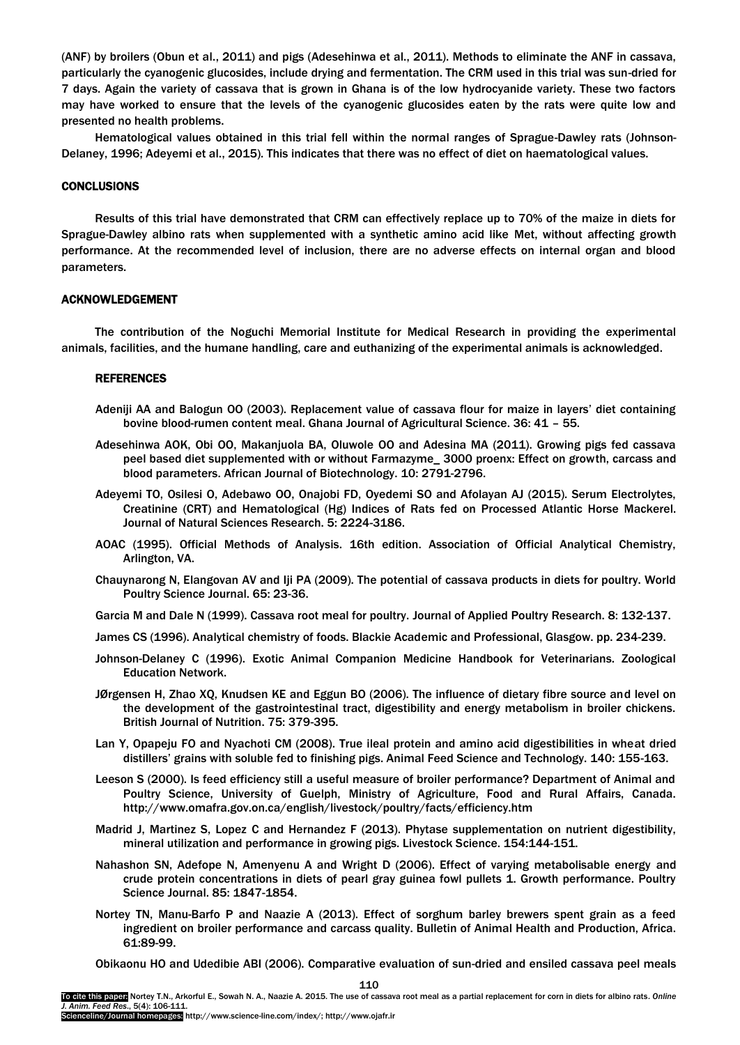(ANF) by broilers (Obun et al., 2011) and pigs (Adesehinwa et al., 2011). Methods to eliminate the ANF in cassava, particularly the cyanogenic glucosides, include drying and fermentation. The CRM used in this trial was sun-dried for 7 days. Again the variety of cassava that is grown in Ghana is of the low hydrocyanide variety. These two factors may have worked to ensure that the levels of the cyanogenic glucosides eaten by the rats were quite low and presented no health problems.

Hematological values obtained in this trial fell within the normal ranges of Sprague-Dawley rats (Johnson-Delaney, 1996; Adeyemi et al., 2015). This indicates that there was no effect of diet on haematological values.

## **CONCLUSIONS**

Results of this trial have demonstrated that CRM can effectively replace up to 70% of the maize in diets for Sprague-Dawley albino rats when supplemented with a synthetic amino acid like Met, without affecting growth performance. At the recommended level of inclusion, there are no adverse effects on internal organ and blood parameters.

#### ACKNOWLEDGEMENT

The contribution of the Noguchi Memorial Institute for Medical Research in providing the experimental animals, facilities, and the humane handling, care and euthanizing of the experimental animals is acknowledged.

## **REFERENCES**

- Adeniji AA and Balogun OO (2003). Replacement value of cassava flour for maize in layers' diet containing bovine blood-rumen content meal. Ghana Journal of Agricultural Science. 36: 41 – 55.
- Adesehinwa AOK, Obi OO, Makanjuola BA, Oluwole OO and Adesina MA (2011). Growing pigs fed cassava peel based diet supplemented with or without Farmazyme\_ 3000 proenx: Effect on growth, carcass and blood parameters. African Journal of Biotechnology. 10: 2791-2796.
- Adeyemi TO, Osilesi O, Adebawo OO, Onajobi FD, Oyedemi SO and Afolayan AJ (2015). Serum Electrolytes, Creatinine (CRT) and Hematological (Hg) Indices of Rats fed on Processed Atlantic Horse Mackerel. Journal of Natural Sciences Research. 5: 2224-3186.
- AOAC (1995). Official Methods of Analysis. 16th edition. Association of Official Analytical Chemistry, Arlington, VA.
- Chauynarong N, Elangovan AV and Iji PA (2009). The potential of cassava products in diets for poultry. World Poultry Science Journal. 65: 23-36.
- Garcia M and Dale N (1999). Cassava root meal for poultry. Journal of Applied Poultry Research. 8: 132-137.
- James CS (1996). Analytical chemistry of foods. Blackie Academic and Professional, Glasgow. pp. 234-239.
- Johnson-Delaney C (1996). Exotic Animal Companion Medicine Handbook for Veterinarians. Zoological Education Network.
- JØrgensen H, Zhao XQ, Knudsen KE and Eggun BO (2006). The influence of dietary fibre source and level on the development of the gastrointestinal tract, digestibility and energy metabolism in broiler chickens. British Journal of Nutrition. 75: 379-395.
- Lan Y, Opapeju FO and Nyachoti CM (2008). True ileal protein and amino acid digestibilities in wheat dried distillers' grains with soluble fed to finishing pigs. Animal Feed Science and Technology. 140: 155-163.
- Leeson S (2000). Is feed efficiency still a useful measure of broiler performance? Department of Animal and Poultry Science, University of Guelph, Ministry of Agriculture, Food and Rural Affairs, Canada. <http://www.omafra.gov.on.ca/english/livestock/poultry/facts/efficiency.htm>
- Madrid J, Martinez S, Lopez C and Hernandez F (2013). Phytase supplementation on nutrient digestibility, mineral utilization and performance in growing pigs. Livestock Science. 154:144-151.
- Nahashon SN, Adefope N, Amenyenu A and Wright D (2006). Effect of varying metabolisable energy and crude protein concentrations in diets of pearl gray guinea fowl pullets 1. Growth performance. Poultry Science Journal. 85: 1847-1854.
- Nortey TN, Manu-Barfo P and Naazie A (2013). Effect of sorghum barley brewers spent grain as a feed ingredient on broiler performance and carcass quality. Bulletin of Animal Health and Production, Africa. 61:89-99.

Obikaonu HO and Udedibie ABI (2006). Comparative evaluation of sun-dried and ensiled cassava peel meals